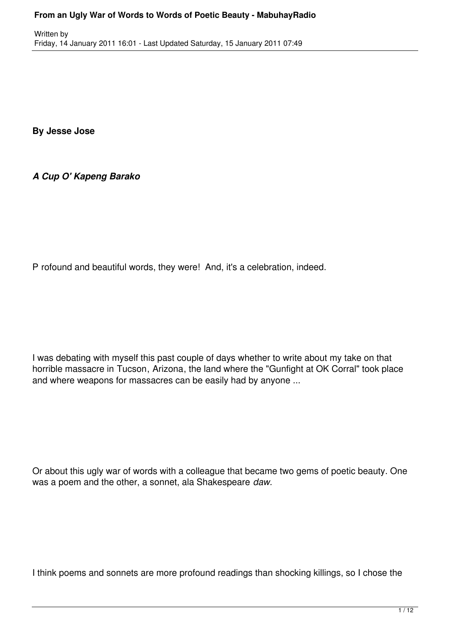**By Jesse Jose**

*A Cup O' Kapeng Barako*

P rofound and beautiful words, they were! And, it's a celebration, indeed.

I was debating with myself this past couple of days whether to write about my take on that horrible massacre in Tucson, Arizona, the land where the "Gunfight at OK Corral" took place and where weapons for massacres can be easily had by anyone ...

Or about this ugly war of words with a colleague that became two gems of poetic beauty. One was a poem and the other, a sonnet, ala Shakespeare *daw.*

I think poems and sonnets are more profound readings than shocking killings, so I chose the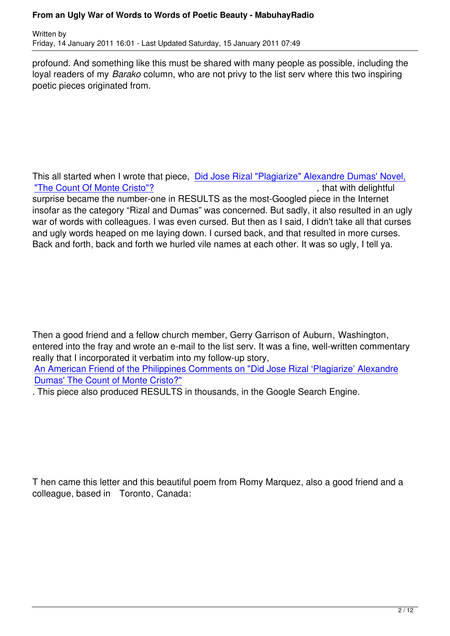profound. And something like this must be shared with many people as possible, including the loyal readers of my *Barako* column, who are not privy to the list serv where this two inspiring poetic pieces originated from.

This all started when I wrote that piece, Did Jose Rizal "Plagiarize" Alexandre Dumas' Novel, "The Count Of Monte Cristo"? *COUNTER 1999 <b>PERITHER* The Count Of Monte Cristo"? surprise became the number-one in RESULTS as the most-Googled piece in the Internet insofar as the category "Rizal and Duma[s" was concerned. But sadly, it also resulted in an ug](http://www.mabuhayradio.com/a-cup-o-kapeng-barako/did-jose-rizal-plagiarize-alexandre-dumas-novel-the-count-of-monte-cristo)ly [war of words with colleagues. I](http://www.mabuhayradio.com/a-cup-o-kapeng-barako/did-jose-rizal-plagiarize-alexandre-dumas-novel-the-count-of-monte-cristo) was even cursed. But then as I said, I didn't take all that curses and ugly words heaped on me laying down. I cursed back, and that resulted in more curses. Back and forth, back and forth we hurled vile names at each other. It was so ugly, I tell ya.

Then a good friend and a fellow church member, Gerry Garrison of Auburn, Washington, entered into the fray and wrote an e-mail to the list serv. It was a fine, well-written commentary really that I incorporated it verbatim into my follow-up story, An American Friend of the Philippines Comments on "Did Jose Rizal 'Plagiarize' Alexandre Dumas' The Count of Monte Cristo?"

. This piece also produced RESULTS in thousands, in the Google Search Engine.

T hen came this letter and this beautiful poem from Romy Marquez, also a good friend and a colleague, based in Toronto, Canada: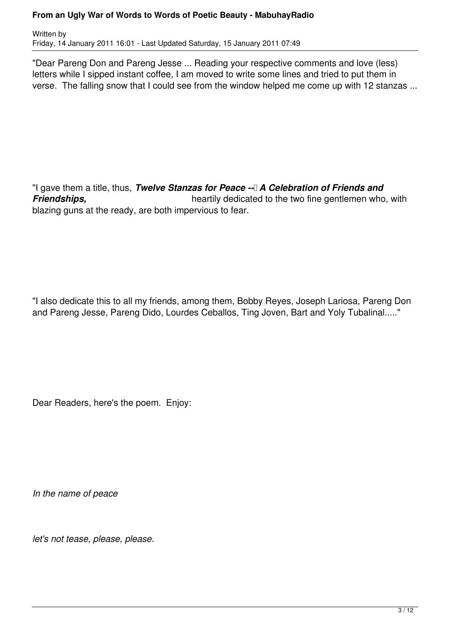Written by Friday, 14 January 2011 16:01 - Last Updated Saturday, 15 January 2011 07:49

"Dear Pareng Don and Pareng Jesse ... Reading your respective comments and love (less) letters while I sipped instant coffee, I am moved to write some lines and tried to put them in verse. The falling snow that I could see from the window helped me come up with 12 stanzas ...

"I gave them a title, thus, *Twelve Stanzas for Peace --* A Celebration of Friends and **Friendships, Friendships**, **heartily dedicated to the two fine gentlemen who, with** blazing guns at the ready, are both impervious to fear.

"I also dedicate this to all my friends, among them, Bobby Reyes, Joseph Lariosa, Pareng Don and Pareng Jesse, Pareng Dido, Lourdes Ceballos, Ting Joven, Bart and Yoly Tubalinal....."

Dear Readers, here's the poem. Enjoy:

*In the name of peace*

*let's not tease, please, please.*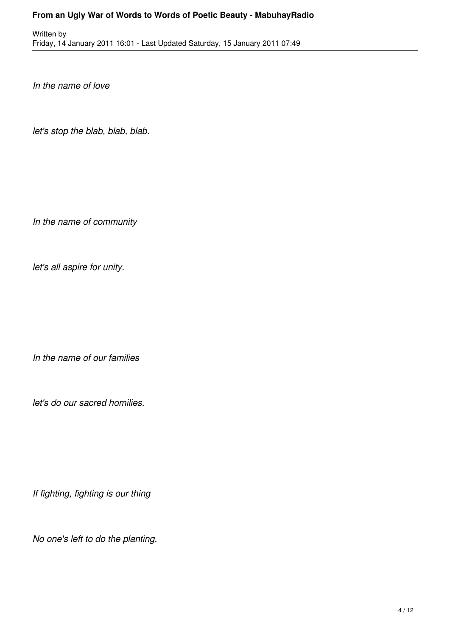Written by Friday, 14 January 2011 16:01 - Last Updated Saturday, 15 January 2011 07:49

*In the name of love*

*let's stop the blab, blab, blab.*

*In the name of community*

*let's all aspire for unity.*

*In the name of our families*

*let's do our sacred homilies.*

*If fighting, fighting is our thing*

*No one's left to do the planting.*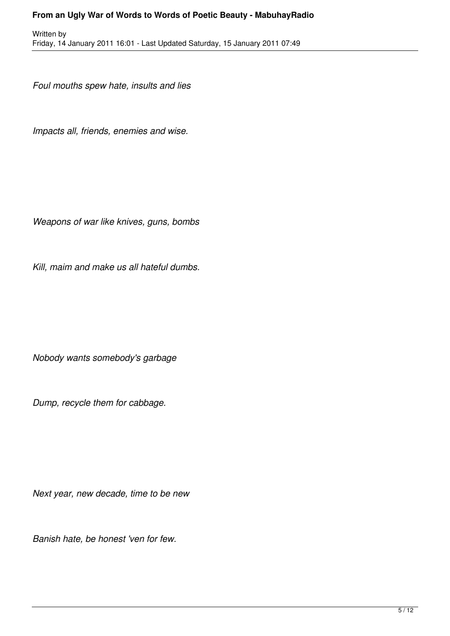*Foul mouths spew hate, insults and lies*

*Impacts all, friends, enemies and wise.*

*Weapons of war like knives, guns, bombs*

*Kill, maim and make us all hateful dumbs.*

*Nobody wants somebody's garbage*

*Dump, recycle them for cabbage.*

*Next year, new decade, time to be new*

*Banish hate, be honest 'ven for few.*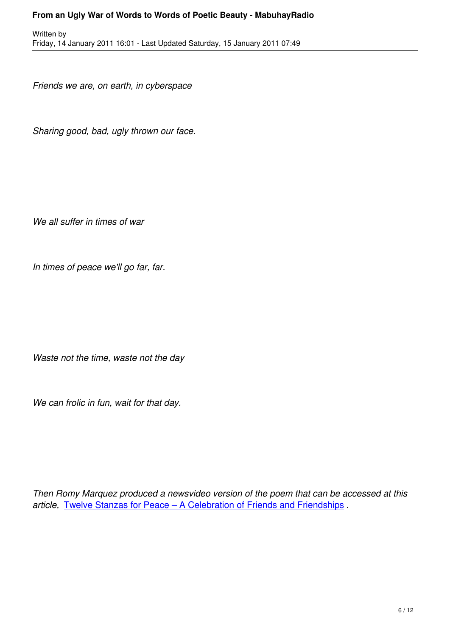*Friends we are, on earth, in cyberspace*

Written by

*Sharing good, bad, ugly thrown our face.*

*We all suffer in times of war*

*In times of peace we'll go far, far.*

*Waste not the time, waste not the day*

*We can frolic in fun, wait for that day.*

*Then Romy Marquez produced a newsvideo version of the poem that can be accessed at this article,* Twelve Stanzas for Peace – A Celebration of Friends and Friendships .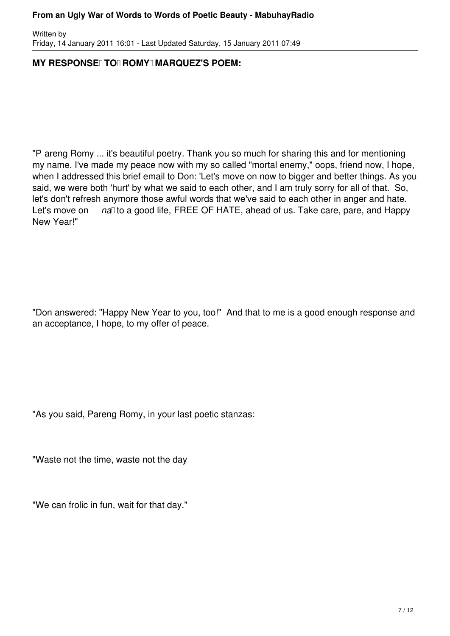Written by Friday, 14 January 2011 16:01 - Last Updated Saturday, 15 January 2011 07:49

# **MY RESPONSE TO ROMY MARQUEZ'S POEM:**

"P areng Romy ... it's beautiful poetry. Thank you so much for sharing this and for mentioning my name. I've made my peace now with my so called "mortal enemy," oops, friend now, I hope, when I addressed this brief email to Don: 'Let's move on now to bigger and better things. As you said, we were both 'hurt' by what we said to each other, and I am truly sorry for all of that. So, let's don't refresh anymore those awful words that we've said to each other in anger and hate. Let's move on *na* to a good life, FREE OF HATE, ahead of us. Take care, pare, and Happy New Year!"

"Don answered: "Happy New Year to you, too!" And that to me is a good enough response and an acceptance, I hope, to my offer of peace.

"As you said, Pareng Romy, in your last poetic stanzas:

"Waste not the time, waste not the day

"We can frolic in fun, wait for that day."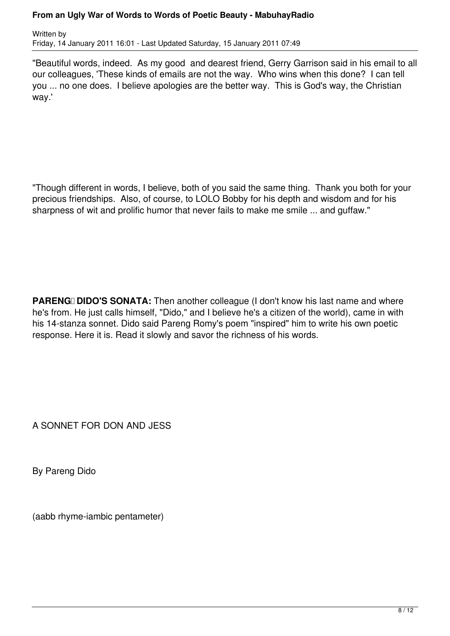Written by Friday, 14 January 2011 16:01 - Last Updated Saturday, 15 January 2011 07:49

"Beautiful words, indeed. As my good and dearest friend, Gerry Garrison said in his email to all our colleagues, 'These kinds of emails are not the way. Who wins when this done? I can tell you ... no one does. I believe apologies are the better way. This is God's way, the Christian way.'

"Though different in words, I believe, both of you said the same thing. Thank you both for your precious friendships. Also, of course, to LOLO Bobby for his depth and wisdom and for his sharpness of wit and prolific humor that never fails to make me smile ... and guffaw."

**PARENG DIDO'S SONATA:** Then another colleague (I don't know his last name and where he's from. He just calls himself, "Dido," and I believe he's a citizen of the world), came in with his 14-stanza sonnet. Dido said Pareng Romy's poem "inspired" him to write his own poetic response. Here it is. Read it slowly and savor the richness of his words.

A SONNET FOR DON AND JESS

By Pareng Dido

(aabb rhyme-iambic pentameter)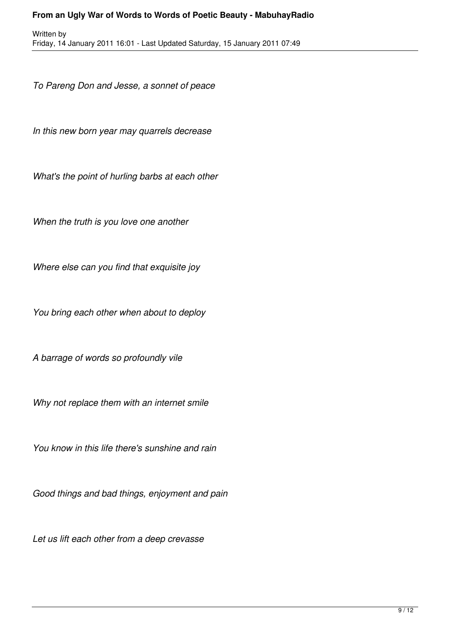*To Pareng Don and Jesse, a sonnet of peace*

*In this new born year may quarrels decrease*

*What's the point of hurling barbs at each other*

*When the truth is you love one another*

*Where else can you find that exquisite joy*

*You bring each other when about to deploy*

*A barrage of words so profoundly vile*

*Why not replace them with an internet smile*

*You know in this life there's sunshine and rain*

*Good things and bad things, enjoyment and pain*

*Let us lift each other from a deep crevasse*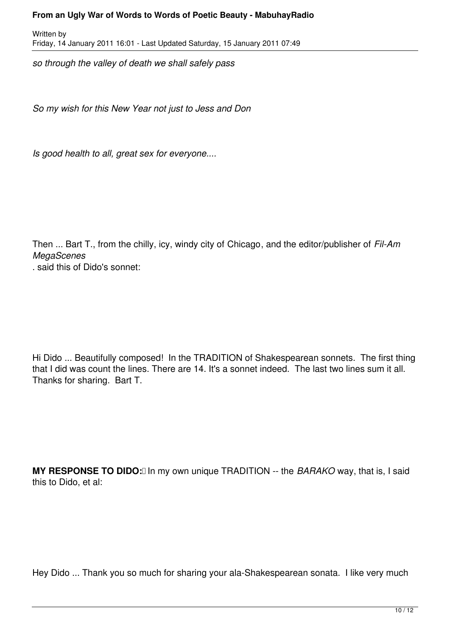Written by Friday, 14 January 2011 16:01 - Last Updated Saturday, 15 January 2011 07:49

*so through the valley of death we shall safely pass*

*So my wish for this New Year not just to Jess and Don*

*Is good health to all, great sex for everyone....*

Then ... Bart T., from the chilly, icy, windy city of Chicago, and the editor/publisher of *Fil-Am MegaScenes*

. said this of Dido's sonnet:

Hi Dido ... Beautifully composed! In the TRADITION of Shakespearean sonnets. The first thing that I did was count the lines. There are 14. It's a sonnet indeed. The last two lines sum it all. Thanks for sharing. Bart T.

**MY RESPONSE TO DIDO:** In my own unique TRADITION -- the *BARAKO* way, that is, I said this to Dido, et al:

Hey Dido ... Thank you so much for sharing your ala-Shakespearean sonata. I like very much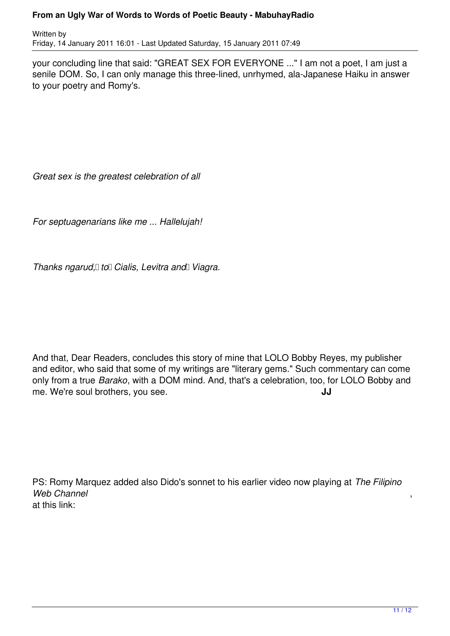Written by Friday, 14 January 2011 16:01 - Last Updated Saturday, 15 January 2011 07:49

your concluding line that said: "GREAT SEX FOR EVERYONE ..." I am not a poet, I am just a senile DOM. So, I can only manage this three-lined, unrhymed, ala-Japanese Haiku in answer to your poetry and Romy's.

*Great sex is the greatest celebration of all*

*For septuagenarians like me ... Hallelujah!*

*Thanks ngarud, to Cialis, Levitra and Viagra.* 

And that, Dear Readers, concludes this story of mine that LOLO Bobby Reyes, my publisher and editor, who said that some of my writings are "literary gems." Such commentary can come only from a true *Barako*, with a DOM mind. And, that's a celebration, too, for LOLO Bobby and me. We're soul brothers, you see. **JJ**

PS: Romy Marquez added also Dido's sonnet to his earlier video now playing at *The Filipino* Web Channel at this link: